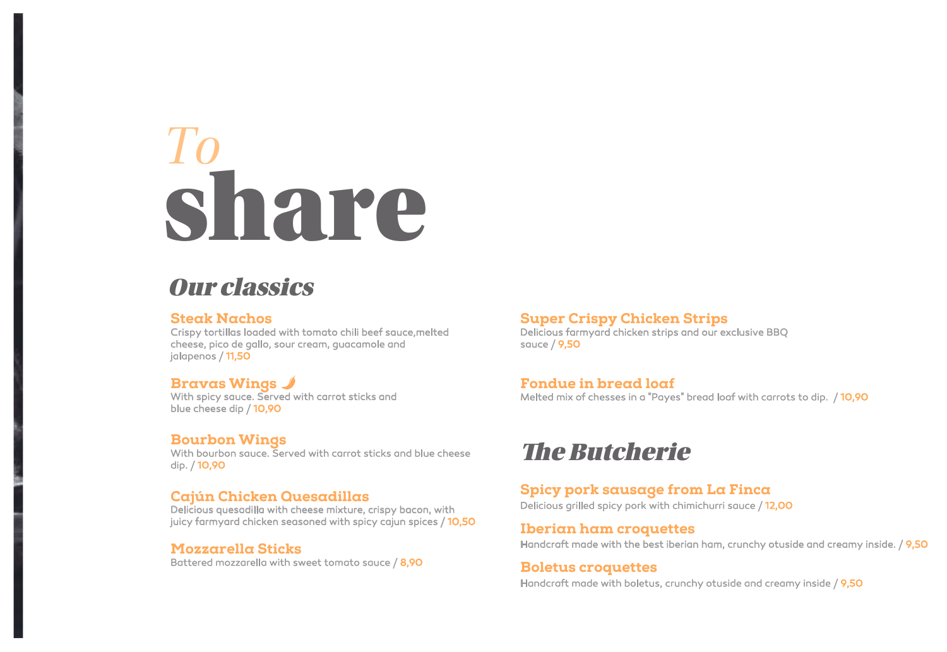# *To* share

### Our classics

#### Steak Nachos

Crispy tortillas loaded with tomato chili beef sauce,melted cheese, pico de gallo, sour cream, guacamole and jalapenos / 11,50

#### Bravas Wings

With spicy sauce. Served with carrot sticks and blue cheese dip / 10,90

#### Bourbon Wings

With bourbon sauce. Served with carrot sticks and blue cheese dip. / 10,90

#### Cajún Chicken Quesadillas

Delicious quesadilla with cheese mixture, crispy bacon, with juicy farmyard chicken seasoned with spicy cajun spices / 10,50

#### Mozzarella Sticks

Battered mozzarella with sweet tomato sauce / 8,90

#### Super Crispy Chicken Strips

Delicious farmyard chicken strips and our exclusive BBQ sauce / 9,50

#### Fondue in bread loaf

Melted mix of chesses in a "Payes" bread loaf with carrots to dip. / 10,90

### **The Butcherie**

#### Spicy pork sausage from La Finca

Delicious grilled spicy pork with chimichurri sauce / 12,00

#### Iberian ham croquettes

Handcraft made with the best iberian ham, crunchy otuside and creamy inside. / 9,50

#### Boletus croquettes Handcraft made with boletus, crunchy otuside and creamy inside / 9,50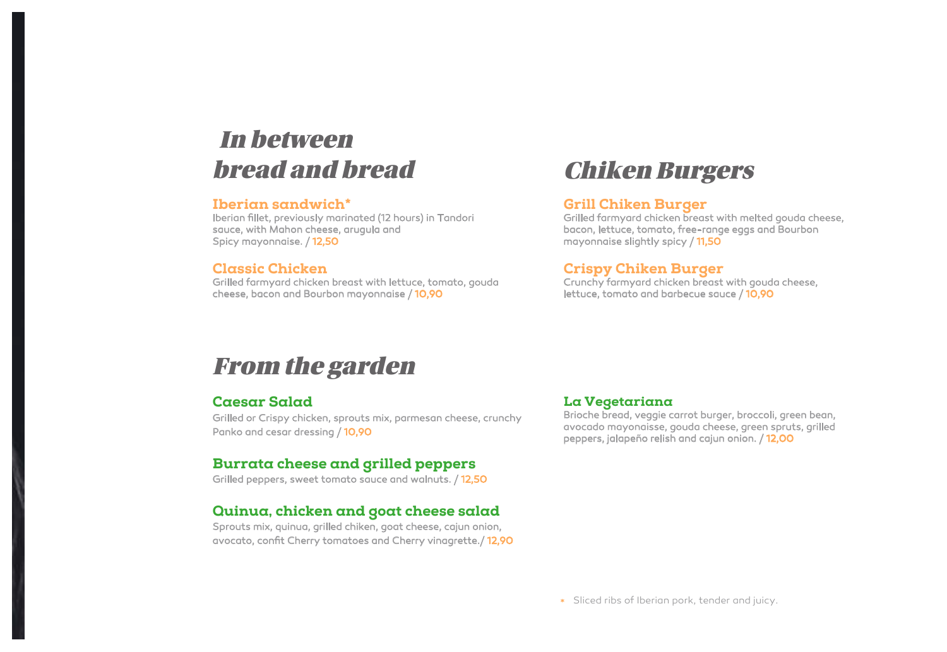### In between bread and bread

#### Iberian sandwich\*

Iberian fillet, previously marinated (12 hours) in Tandori sauce, with Mahon cheese, arugula and Spicy mayonnaise. / 12,50

#### Classic Chicken

Grilled farmyard chicken breast with lettuce, tomato, gouda cheese, bacon and Bourbon mayonnaise / 10,90

### Chiken Burgers

#### Grill Chiken Burger

Grilled farmyard chicken breast with melted gouda cheese, bacon, lettuce, tomato, free-range eggs and Bourbon mayonnaise slightly spicy / 11,50

#### Crispy Chiken Burger

Crunchy farmyard chicken breast with gouda cheese, lettuce, tomato and barbecue sauce / 10,90

### From the garden

#### Caesar Salad

Grilled or Crispy chicken, sprouts mix, parmesan cheese, crunchy Panko and cesar dressing / 10,90

#### Burrata cheese and grilled peppers

Grilled peppers, sweet tomato sauce and walnuts. / 12,50

#### Quinua, chicken and goat cheese salad

Sprouts mix, quinua, grilled chiken, goat cheese, cajun onion, avocato, confit Cherry tomatoes and Cherry vinagrette./ 12,90

#### La Vegetariana

Brioche bread, veggie carrot burger, broccoli, green bean, avocado mayonaisse, gouda cheese, green spruts, grilled peppers, jalapeño relish and cajun onion. / 12,00

Sliced ribs of Iberian pork, tender and juicy.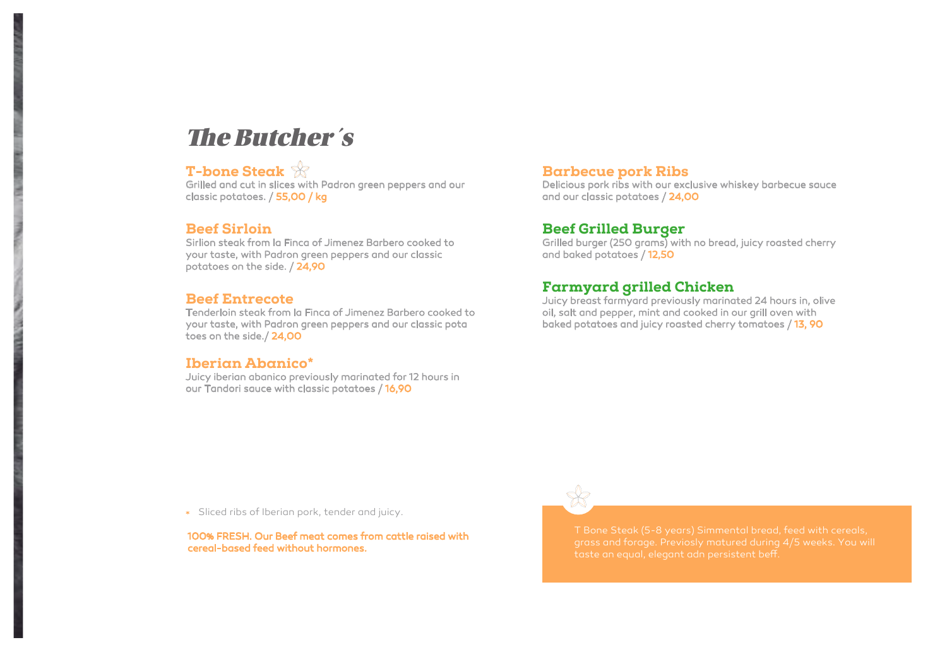### **The Butcher's**

#### T-bone Steak

Grilled and cut in slices with Padron green peppers and our classic potatoes. / 55,00 / kg

#### Beef Sirloin

Sirlion steak from la Finca of Jimenez Barbero cooked to your taste, with Padron green peppers and our classic potatoes on the side. / 24,90

#### Beef Entrecote

Tenderloin steak from la Finca of Jimenez Barbero cooked to your taste, with Padron green peppers and our classic pota toes on the side./ 24,00

#### Iberian Abanico\*

Juicy iberian abanico previously marinated for 12 hours in our Tandori sauce with classic potatoes / 16,90

#### Barbecue pork Ribs

Delicious pork ribs with our exclusive whiskey barbecue sauce and our classic potatoes / 24,00

#### Beef Grilled Burger

Grilled burger (250 grams) with no bread, juicy roasted cherry and baked potatoes / 12,50

#### Farmyard grilled Chicken

Juicy breast farmyard previously marinated 24 hours in, olive oil, salt and pepper, mint and cooked in our grill oven with baked potatoes and juicy roasted cherry tomatoes / 13, 90

Sliced ribs of Iberian pork, tender and juicy.

100% FRESH. Our Beef meat comes from cattle raised with cereal-based feed without hormones.

T Bone Steak (5-8 years) Simmental bread, feed with cereals, grass and forage. Previosly matured during 4/5 weeks. You will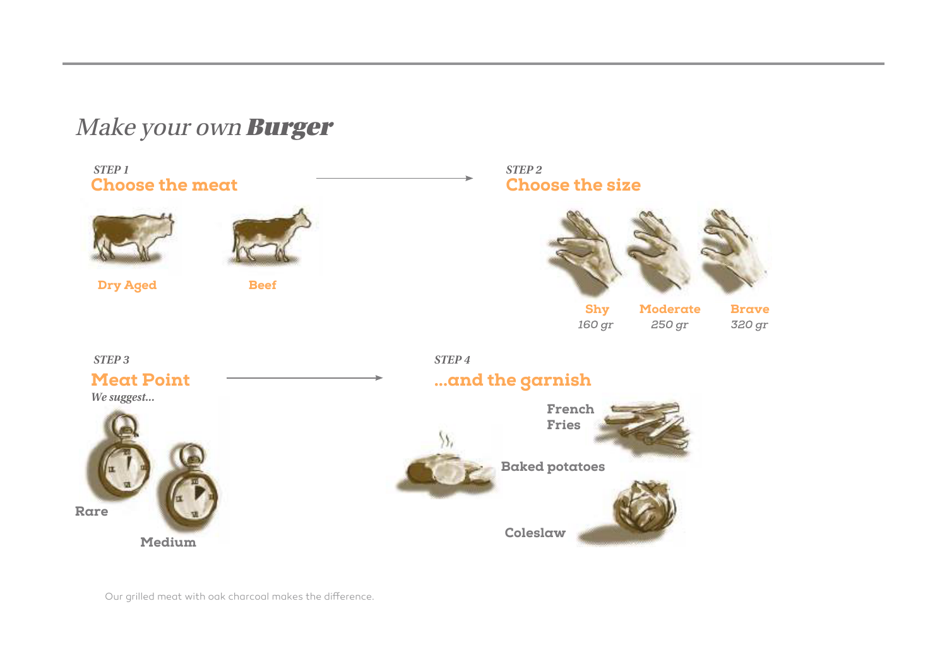### Make your own **Burger**

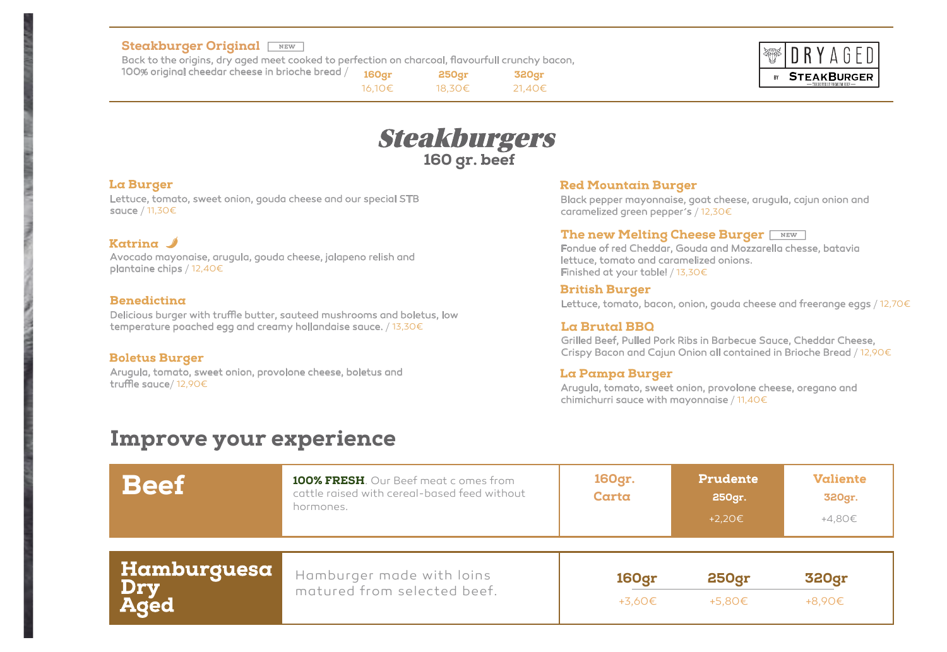#### Steakburger Original **Final**

Back to the origins, dry aged meet cooked to perfection on charcoal, flavourfull crunchy bacon,

100% original cheedar cheese in brioche bread /

160gr 250gr 16,10€ 18,30€ 320gr 21,40€



### **Steakburgers** 160 gr. beef

#### **La Burger**

Lettuce, tomato, sweet onion, gouda cheese and our special STB sauce / 11,30€

#### Katrina  $\mathscr I$

Avocado mayonaise, arugula, gouda cheese, jalapeno relish and plantaine chips / 12,40€

#### Benedicting

Delicious burger with truffle butter, sauteed mushrooms and boletus, low temperature poached egg and creamy hollandaise sauce. / 13,30€

#### **Boletus Burger**

Arugula, tomato, sweet onion, provolone cheese, boletus and truffle sauce/  $12,90 \in$ 

#### **Red Mountain Burger**

Black pepper mayonnaise, goat cheese, arugula, cajun onion and caramelized green pepper´s / 12,30€

#### The new Melting Cheese Burger NEW

Fondue of red Cheddar, Gouda and Mozzarella chesse, batavia lettuce, tomato and caramelized onions. Finished at your table! / 13,30€

#### **British Burger**

Lettuce, tomato, bacon, onion, gouda cheese and freerange eggs / 12,70€

#### La Brutal BBQ

Grilled Beef, Pulled Pork Ribs in Barbecue Sauce, Cheddar Cheese, Crispy Bacon and Cajun Onion all contained in Brioche Bread / 12,90€

#### La Pampa Burger

Arugula, tomato, sweet onion, provolone cheese, oregano and chimichurri sauce with mayonnaise / 11,40€

### Improve your experience

| <b>Beef</b>   | 100% FRESH. Our Beef meat comes from<br>cattle raised with cereal-based feed without<br>hormones. | 160gr.<br>Carta | <b>Prudente</b><br>250gr.<br>+2,20€ | <b>Valiente</b><br>320gr.<br>+4,80€ |
|---------------|---------------------------------------------------------------------------------------------------|-----------------|-------------------------------------|-------------------------------------|
| Hamburguesa   | Hamburger made with loins                                                                         | <b>160gr</b>    | <b>250gr</b>                        | <b>320gr</b>                        |
| Dry<br>  Aged | matured from selected beef.                                                                       | +3,60€          | +5,80€                              | +8,90€                              |